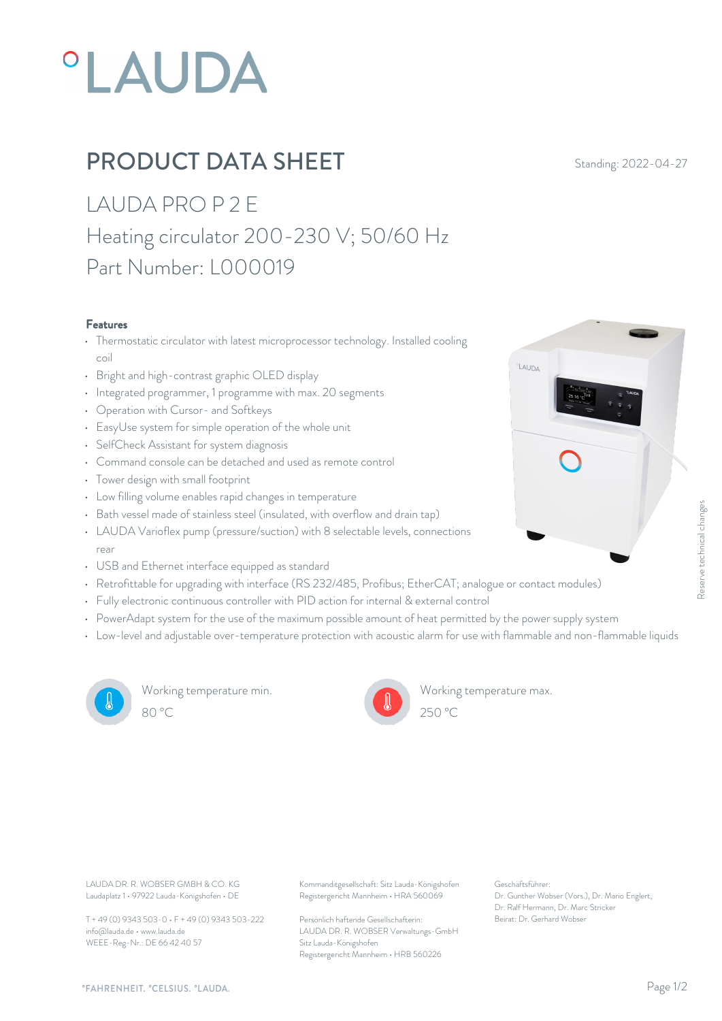# **°LAUDA**

## PRODUCT DATA SHEET Standing: 2022-04-27

LAUDA PRO P 2 E Heating circulator 200-230 V; 50/60 Hz Part Number: L000019

#### Features

- Thermostatic circulator with latest microprocessor technology. Installed cooling coil
- Bright and high-contrast graphic OLED display
- Integrated programmer, 1 programme with max. 20 segments
- Operation with Cursor- and Softkeys
- EasyUse system for simple operation of the whole unit
- SelfCheck Assistant for system diagnosis
- Command console can be detached and used as remote control
- Tower design with small footprint
- Low filling volume enables rapid changes in temperature
- Bath vessel made of stainless steel (insulated, with overflow and drain tap)
- LAUDA Varioflex pump (pressure/suction) with 8 selectable levels, connections rear and the contract of the contract of the contract of the contract of the contract of the contract of the contract of the contract of the contract of the contract of the contract of the contract of the contract of the c • Bath vessel made of stainless steel (insulated, with overflow and drain tap)<br>• LAUDA Varioflex pump (pressure/suction) with 8 selectable levels, connections<br>• USB and Ethernet interface equipped as standard<br>• Retrofittab
- USB and Ethernet interface equipped as standard
- 
- Fully electronic continuous controller with PID action for internal & external control
- PowerAdapt system for the use of the maximum possible amount of heat permitted by the power supply system
- Low-level and adjustable over-temperature protection with acoustic alarm for use with flammable and non-flammable liquids



Working temperature min. 80 °C 250 °C



Working temperature max.  $250 \text{ °C}$ 

**LAUDA** 

Laudaplatz 1 • 97922 Lauda-Königshofen • DE

T + 49 (0) 9343 503-0 • F + 49 (0) 9343 503-222 info@lauda.de • www.lauda.de WEEE-Reg-Nr.: DE 66 42 40 57

LAUDA DR. R. WOBSER GMBH & CO. KG Kommanditgesellschaft: Sitz Lauda-Königshofen Geschäftsführer: Registergericht Mannheim • HRA 560069

> Persönlich haftende Gesellschafterin: Beirat: Dr. Gerhard Wobse LAUDA DR. R. WOBSER Verwaltungs-GmbH Sitz Lauda-Königshofen Registergericht Mannheim • HRB 560226

Geschäftsführer: Dr. Gunther Wobser (Vors.), Dr. Mario Englert, Dr. Ralf Hermann, Dr. Marc Stricker Beixon<br>Beixon<br>Sy the power supply system<br>of Hammable and non-flammable liquids<br>exaction<br>of Geschäftsführer:<br>Dr. Gerhard Wobser<br>Deirat: Dr. Gerhard Wobser<br>Deirat: Dr. Gerhard Wobser